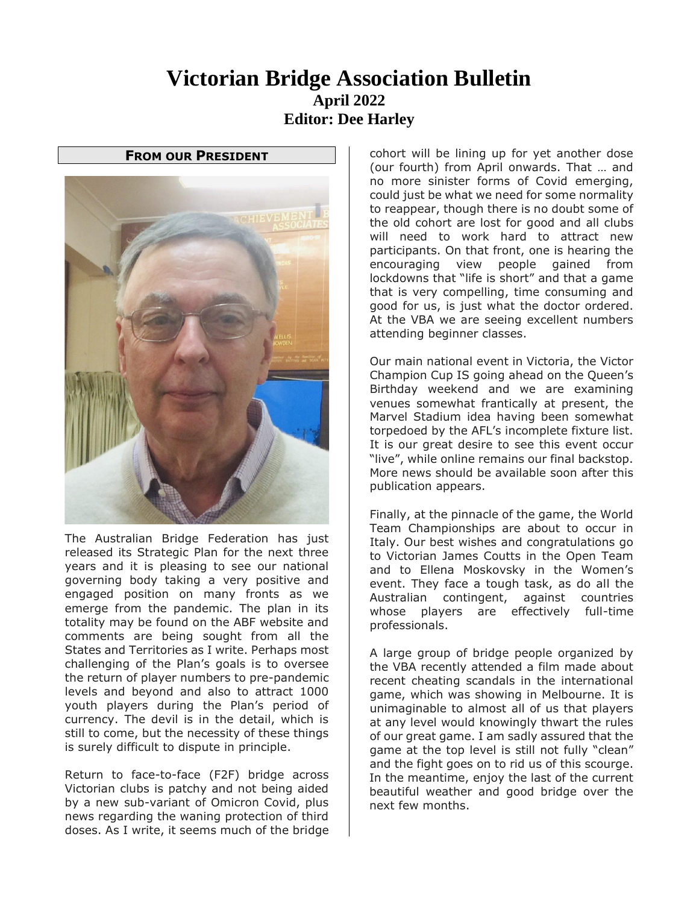# **Victorian Bridge Association Bulletin April 2022 Editor: Dee Harley**



The Australian Bridge Federation has just released its Strategic Plan for the next three years and it is pleasing to see our national governing body taking a very positive and engaged position on many fronts as we emerge from the pandemic. The plan in its totality may be found on the ABF website and comments are being sought from all the States and Territories as I write. Perhaps most challenging of the Plan's goals is to oversee the return of player numbers to pre-pandemic levels and beyond and also to attract 1000 youth players during the Plan's period of currency. The devil is in the detail, which is still to come, but the necessity of these things is surely difficult to dispute in principle.

Return to face-to-face (F2F) bridge across Victorian clubs is patchy and not being aided by a new sub-variant of Omicron Covid, plus news regarding the waning protection of third doses. As I write, it seems much of the bridge

cohort will be lining up for yet another dose (our fourth) from April onwards. That … and no more sinister forms of Covid emerging, could just be what we need for some normality to reappear, though there is no doubt some of the old cohort are lost for good and all clubs will need to work hard to attract new participants. On that front, one is hearing the encouraging view people gained from lockdowns that "life is short" and that a game that is very compelling, time consuming and good for us, is just what the doctor ordered. At the VBA we are seeing excellent numbers attending beginner classes.

Our main national event in Victoria, the Victor Champion Cup IS going ahead on the Queen's Birthday weekend and we are examining venues somewhat frantically at present, the Marvel Stadium idea having been somewhat torpedoed by the AFL's incomplete fixture list. It is our great desire to see this event occur "live", while online remains our final backstop. More news should be available soon after this publication appears.

Finally, at the pinnacle of the game, the World Team Championships are about to occur in Italy. Our best wishes and congratulations go to Victorian James Coutts in the Open Team and to Ellena Moskovsky in the Women's event. They face a tough task, as do all the Australian contingent, against countries whose players are effectively full-time professionals.

A large group of bridge people organized by the VBA recently attended a film made about recent cheating scandals in the international game, which was showing in Melbourne. It is unimaginable to almost all of us that players at any level would knowingly thwart the rules of our great game. I am sadly assured that the game at the top level is still not fully "clean" and the fight goes on to rid us of this scourge. In the meantime, enjoy the last of the current beautiful weather and good bridge over the next few months.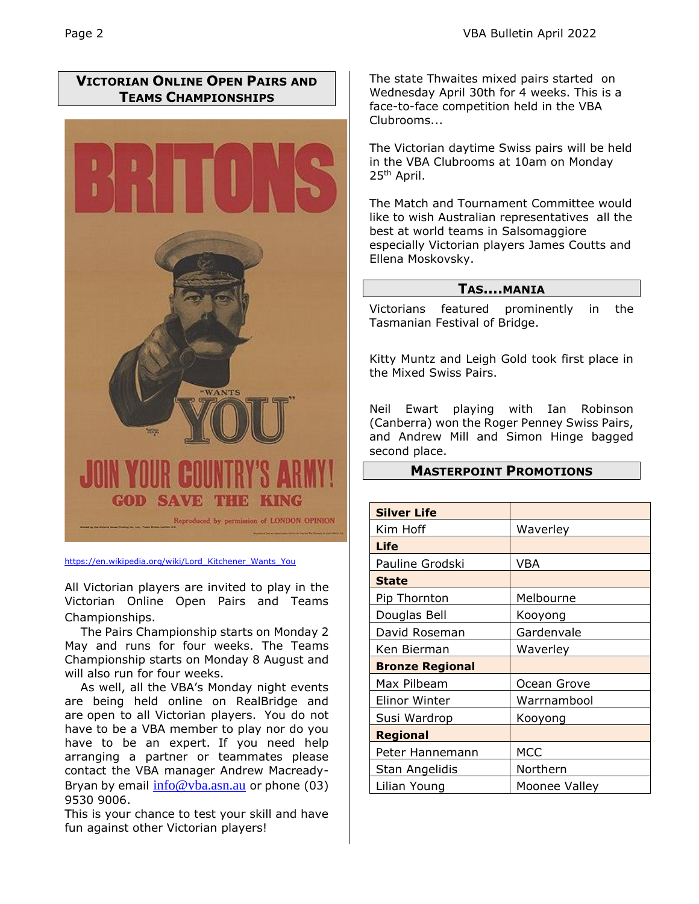# **VICTORIAN ONLINE OPEN PAIRS AND TEAMS CHAMPIONSHIPS**



[https://en.wikipedia.org/wiki/Lord\\_Kitchener\\_Wants\\_You](https://en.wikipedia.org/wiki/Lord_Kitchener_Wants_You)

All Victorian players are invited to play in the Victorian Online Open Pairs and Teams Championships.

 The Pairs Championship starts on Monday 2 May and runs for four weeks. The Teams Championship starts on Monday 8 August and will also run for four weeks.

 As well, all the VBA's Monday night events are being held online on RealBridge and are open to all Victorian players. You do not have to be a VBA member to play nor do you have to be an expert. If you need help arranging a partner or teammates please contact the VBA manager Andrew Macready-Bryan by email  $in \frac{60 \text{ vba.} \text{asm.} \text{au}}{100 \text{ m}}$  or phone (03) [9530 9006.](tel:(03)%209530%209006)

This is your chance to test your skill and have fun against other Victorian players!

The state Thwaites mixed pairs started on Wednesday April 30th for 4 weeks. This is a face-to-face competition held in the VBA Clubrooms...

The Victorian daytime Swiss pairs will be held in the VBA Clubrooms at 10am on Monday 25th April.

The Match and Tournament Committee would like to wish Australian representatives all the best at world teams in Salsomaggiore especially Victorian players James Coutts and Ellena Moskovsky.

#### **TAS….MANIA**

Victorians featured prominently in the Tasmanian Festival of Bridge.

Kitty Muntz and Leigh Gold took first place in the Mixed Swiss Pairs.

Neil Ewart playing with Ian Robinson (Canberra) won the Roger Penney Swiss Pairs, and Andrew Mill and Simon Hinge bagged second place.

### **MASTERPOINT PROMOTIONS**

| <b>Silver Life</b>     |               |
|------------------------|---------------|
| Kim Hoff               | Waverley      |
| Life                   |               |
| Pauline Grodski        | <b>VBA</b>    |
| <b>State</b>           |               |
| Pip Thornton           | Melbourne     |
| Douglas Bell           | Kooyong       |
| David Roseman          | Gardenvale    |
| Ken Bierman            | Waverley      |
| <b>Bronze Regional</b> |               |
| Max Pilbeam            | Ocean Grove   |
| <b>Elinor Winter</b>   | Warrnambool   |
| Susi Wardrop           | Kooyong       |
| <b>Regional</b>        |               |
| Peter Hannemann        | <b>MCC</b>    |
| Stan Angelidis         | Northern      |
| Lilian Young           | Moonee Valley |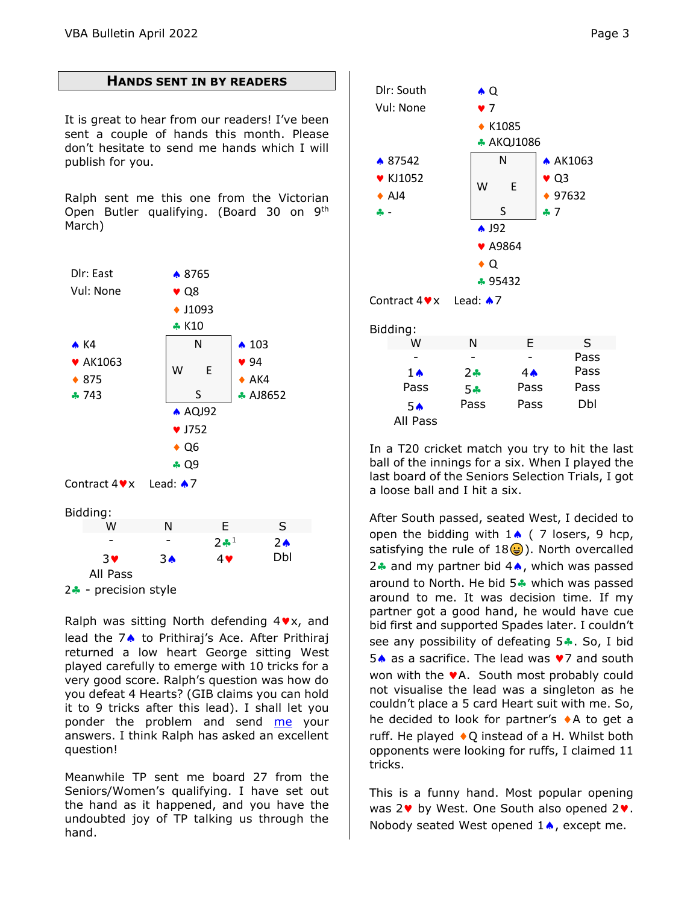#### **HANDS SENT IN BY READERS**

It is great to hear from our readers! I've been sent a couple of hands this month. Please don't hesitate to send me hands which I will publish for you.

Ralph sent me this one from the Victorian Open Butler qualifying. (Board 30 on 9<sup>th</sup> March)



Ralph was sitting North defending  $4 \cdot x$ , and lead the  $7 \spadesuit$  to Prithiraj's Ace. After Prithiraj returned a low heart George sitting West played carefully to emerge with 10 tricks for a very good score. Ralph's question was how do you defeat 4 Hearts? (GIB claims you can hold it to 9 tricks after this lead). I shall let you ponder the problem and send [me](mailto:dee_harley@hotmail.com?subject=Defence%20to%20defeat%204%20hearts) your answers. I think Ralph has asked an excellent question!

Meanwhile TP sent me board 27 from the Seniors/Women's qualifying. I have set out the hand as it happened, and you have the undoubted joy of TP talking us through the hand.



In a T20 cricket match you try to hit the last ball of the innings for a six. When I played the last board of the Seniors Selection Trials, I got a loose ball and I hit a six.

After South passed, seated West, I decided to open the bidding with  $1 \wedge (7 \text{ loses, } 9 \text{ hep})$ , satisfying the rule of  $18\odot$ ). North overcalled  $2$  and my partner bid  $4\spadesuit$ , which was passed around to North. He bid  $5$  which was passed around to me. It was decision time. If my partner got a good hand, he would have cue bid first and supported Spades later. I couldn't see any possibility of defeating  $5 -$ . So, I bid  $5\spadesuit$  as a sacrifice. The lead was  $\blacktriangledown$  and south won with the  $\blacktriangledown$ A. South most probably could not visualise the lead was a singleton as he couldn't place a 5 card Heart suit with me. So, he decided to look for partner's  $\triangle A$  to get a ruff. He played  $\bigcirc$  instead of a H. Whilst both opponents were looking for ruffs, I claimed 11 tricks.

This is a funny hand. Most popular opening was 2 $\bullet$  by West. One South also opened 2 $\bullet$ . Nobody seated West opened  $1\spadesuit$ , except me.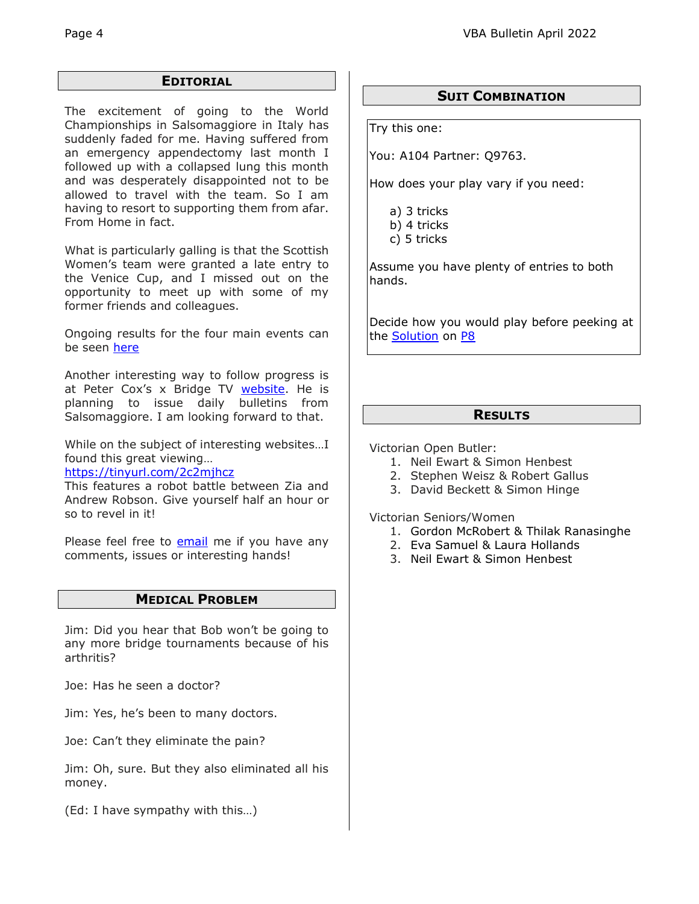### **EDITORIAL**

The excitement of going to the World Championships in Salsomaggiore in Italy has suddenly faded for me. Having suffered from an emergency appendectomy last month I followed up with a collapsed lung this month and was desperately disappointed not to be allowed to travel with the team. So I am having to resort to supporting them from afar. From Home in fact.

What is particularly galling is that the Scottish Women's team were granted a late entry to the Venice Cup, and I missed out on the opportunity to meet up with some of my former friends and colleagues.

Ongoing results for the four main events can be seen [here](http://db.worldbridge.org/Repository/tourn/salsomaggiore.22/microSite/Participants.asp)

Another interesting way to follow progress is at Peter Cox's x Bridge TV [website.](https://www.bridgetv.com.au/) He is planning to issue daily bulletins from Salsomaggiore. I am looking forward to that.

While on the subject of interesting websites…I found this great viewing…

### <https://tinyurl.com/2c2mjhcz>

This features a robot battle between Zia and Andrew Robson. Give yourself half an hour or so to revel in it!

Please feel free to **email** me if you have any comments, issues or interesting hands!

### **MEDICAL PROBLEM**

Jim: Did you hear that Bob won't be going to any more bridge tournaments because of his arthritis?

Joe: Has he seen a doctor?

Jim: Yes, he's been to many doctors.

Joe: Can't they eliminate the pain?

Jim: Oh, sure. But they also eliminated all his money.

(Ed: I have sympathy with this…)

#### **SUIT COMBINATION**

Try this one:

You: A104 Partner: Q9763.

How does your play vary if you need:

- a) 3 tricks
- b) 4 tricks
- c) 5 tricks

Assume you have plenty of entries to both hands.

Decide how you would play before peeking at the **Solution** on P8

#### **RESULTS**

Victorian Open Butler:

- 1. Neil Ewart & Simon Henbest
- 2. Stephen Weisz & Robert Gallus
- 3. David Beckett & Simon Hinge

Victorian Seniors/Women

- 1. Gordon McRobert & Thilak Ranasinghe
- 2. Eva Samuel & Laura Hollands
- 3. Neil Ewart & Simon Henbest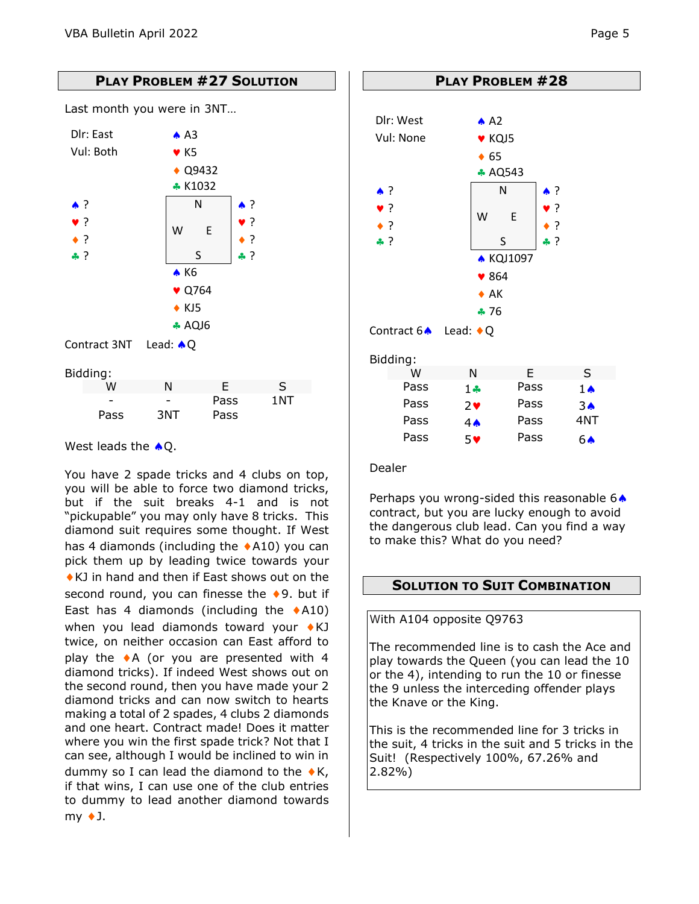

West leads the  $\triangle Q$ .

You have 2 spade tricks and 4 clubs on top, you will be able to force two diamond tricks, but if the suit breaks 4-1 and is not "pickupable" you may only have 8 tricks. This diamond suit requires some thought. If West has 4 diamonds (including the  $\triangle$ A10) you can pick them up by leading twice towards your ◆KJ in hand and then if East shows out on the second round, you can finesse the  $\triangle$ 9. but if East has 4 diamonds (including the  $\triangle$ A10) when you lead diamonds toward your  $\triangleleft$ KJ twice, on neither occasion can East afford to play the  $\triangle$ A (or you are presented with 4 diamond tricks). If indeed West shows out on the second round, then you have made your 2 diamond tricks and can now switch to hearts making a total of 2 spades, 4 clubs 2 diamonds and one heart. Contract made! Does it matter where you win the first spade trick? Not that I can see, although I would be inclined to win in dummy so I can lead the diamond to the  $\bullet$ K, if that wins, I can use one of the club entries to dummy to lead another diamond towards  $my \cdot 1$ .



Dealer

Perhaps you wrong-sided this reasonable 6. contract, but you are lucky enough to avoid the dangerous club lead. Can you find a way to make this? What do you need?

### **SOLUTION TO SUIT COMBINATION**

#### With A104 opposite Q9763

The recommended line is to cash the Ace and play towards the Queen (you can lead the 10 or the 4), intending to run the 10 or finesse the 9 unless the interceding offender plays the Knave or the King.

This is the recommended line for 3 tricks in the suit, 4 tricks in the suit and 5 tricks in the Suit! (Respectively 100%, 67.26% and 2.82%)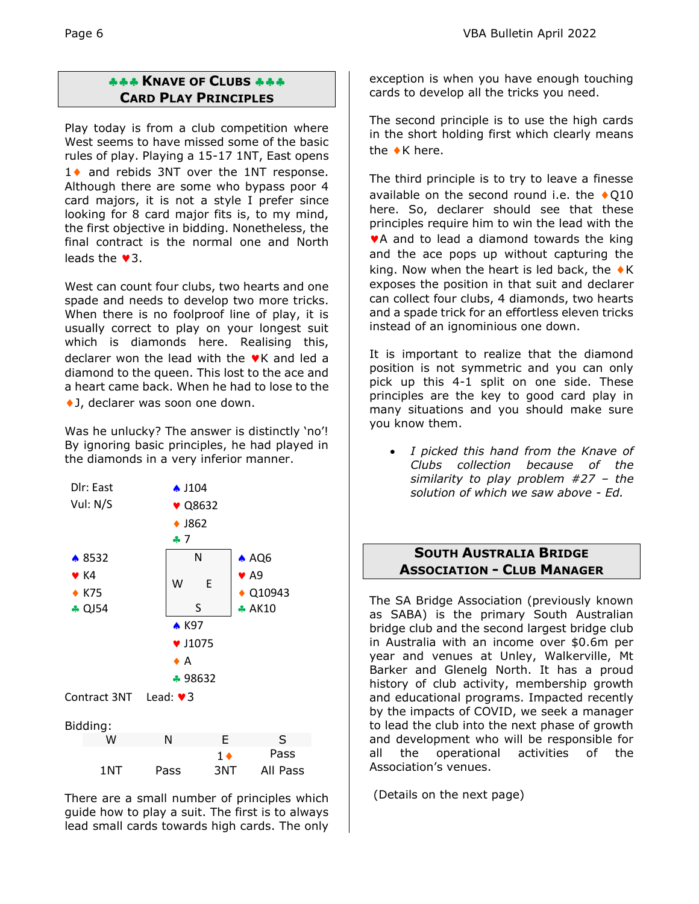## **KNAVE OF CLUBS CARD PLAY PRINCIPLES**

Play today is from a club competition where West seems to have missed some of the basic rules of play. Playing a 15-17 1NT, East opens 1<sup> $\bullet$ </sup> and rebids 3NT over the 1NT response. Although there are some who bypass poor 4 card majors, it is not a style I prefer since looking for 8 card major fits is, to my mind, the first objective in bidding. Nonetheless, the final contract is the normal one and North leads the  $\blacktriangledown$ 3.

West can count four clubs, two hearts and one spade and needs to develop two more tricks. When there is no foolproof line of play, it is usually correct to play on your longest suit which is diamonds here. Realising this, declarer won the lead with the  $\blacktriangledown K$  and led a diamond to the queen. This lost to the ace and a heart came back. When he had to lose to the ◆ J, declarer was soon one down.

Was he unlucky? The answer is distinctly 'no'! By ignoring basic principles, he had played in the diamonds in a very inferior manner.



There are a small number of principles which guide how to play a suit. The first is to always lead small cards towards high cards. The only

exception is when you have enough touching cards to develop all the tricks you need.

The second principle is to use the high cards in the short holding first which clearly means the  $\bullet$  K here.

The third principle is to try to leave a finesse available on the second round i.e. the  $\triangle$  010 here. So, declarer should see that these principles require him to win the lead with the **VA** and to lead a diamond towards the king and the ace pops up without capturing the king. Now when the heart is led back, the  $\triangleleft K$ exposes the position in that suit and declarer can collect four clubs, 4 diamonds, two hearts and a spade trick for an effortless eleven tricks instead of an ignominious one down.

It is important to realize that the diamond position is not symmetric and you can only pick up this 4-1 split on one side. These principles are the key to good card play in many situations and you should make sure you know them.

• *I picked this hand from the Knave of Clubs collection because of the similarity to play problem #27 – the solution of which we saw above - Ed.*

### **SOUTH AUSTRALIA BRIDGE ASSOCIATION - CLUB MANAGER**

The SA Bridge Association (previously known as SABA) is the primary South Australian bridge club and the second largest bridge club in Australia with an income over \$0.6m per year and venues at Unley, Walkerville, Mt Barker and Glenelg North. It has a proud history of club activity, membership growth and educational programs. Impacted recently by the impacts of COVID, we seek a manager to lead the club into the next phase of growth and development who will be responsible for all the operational activities of the Association's venues.

(Details on the next page)